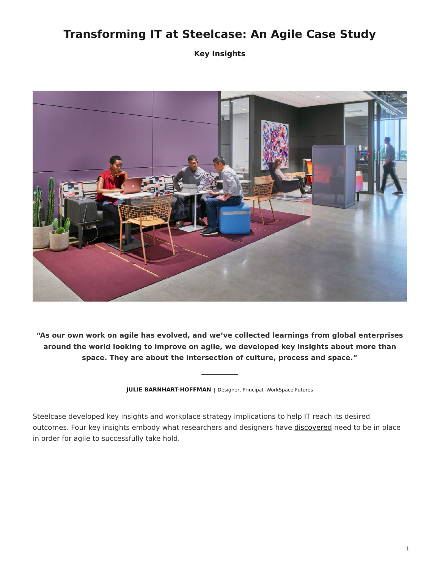# **Transforming IT at Steelcase: An Agile Case Study**

**Key Insights**



**"As our own work on agile has evolved, and we've collected learnings from global enterprises around the world looking to improve on agile, we developed key insights about more than space. They are about the intersection of culture, process and space."**

**JULIE BARNHART-HOFFMAN** | Designer, Principal, WorkSpace Futures

Steelcase developed key insights and workplace strategy implications to help IT reach its desired outcomes. Four key insights embody what researchers and designers have [discovered](https://www.steelcase.com/research/articles/topics/agile/ten-things-agile-teams-need-know/) need to be in place in order for agile to successfully take hold.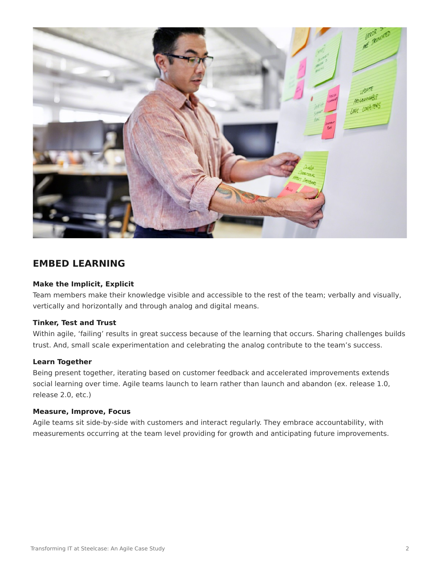

### **EMBED LEARNING**

### **Make the Implicit, Explicit**

Team members make their knowledge visible and accessible to the rest of the team; verbally and visually, vertically and horizontally and through analog and digital means.

#### **Tinker, Test and Trust**

Within agile, 'failing' results in great success because of the learning that occurs. Sharing challenges builds trust. And, small scale experimentation and celebrating the analog contribute to the team's success.

#### **Learn Together**

Being present together, iterating based on customer feedback and accelerated improvements extends social learning over time. Agile teams launch to learn rather than launch and abandon (ex. release 1.0, release 2.0, etc.)

#### **Measure, Improve, Focus**

Agile teams sit side-by-side with customers and interact regularly. They embrace accountability, with measurements occurring at the team level providing for growth and anticipating future improvements.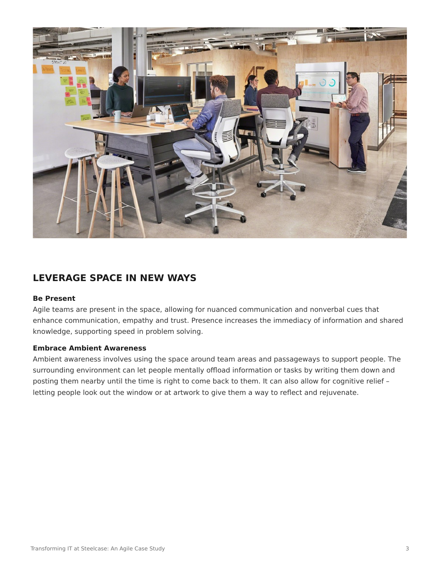

## **LEVERAGE SPACE IN NEW WAYS**

#### **Be Present**

Agile teams are present in the space, allowing for nuanced communication and nonverbal cues that enhance communication, empathy and trust. Presence increases the immediacy of information and shared knowledge, supporting speed in problem solving.

#### **Embrace Ambient Awareness**

Ambient awareness involves using the space around team areas and passageways to support people. The surrounding environment can let people mentally offload information or tasks by writing them down and posting them nearby until the time is right to come back to them. It can also allow for cognitive relief – letting people look out the window or at artwork to give them a way to reflect and rejuvenate.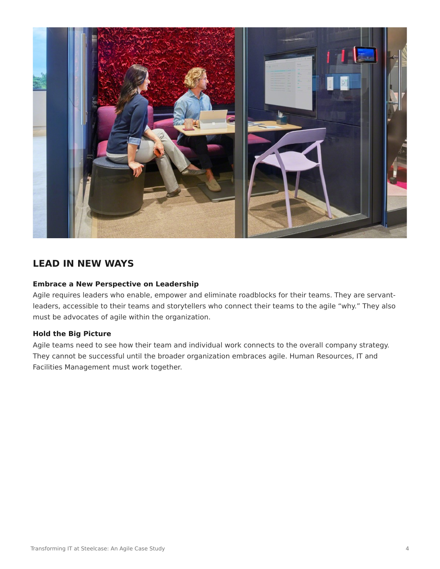

# **LEAD IN NEW WAYS**

### **Embrace a New Perspective on Leadership**

Agile requires leaders who enable, empower and eliminate roadblocks for their teams. They are servantleaders, accessible to their teams and storytellers who connect their teams to the agile "why." They also must be advocates of agile within the organization.

#### **Hold the Big Picture**

Agile teams need to see how their team and individual work connects to the overall company strategy. They cannot be successful until the broader organization embraces agile. Human Resources, IT and Facilities Management must work together.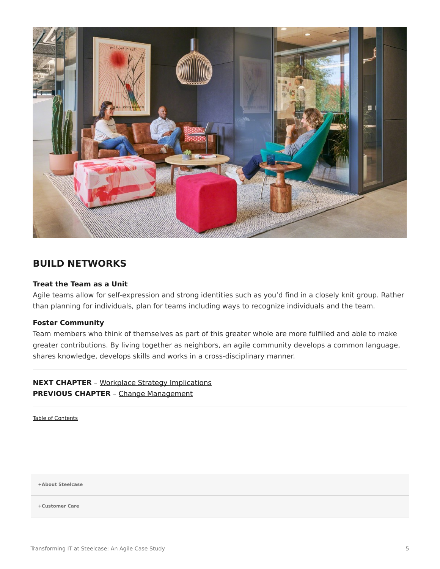

## **BUILD NETWORKS**

### **Treat the Team as a Unit**

Agile teams allow for self-expression and strong identities such as you'd find in a closely knit group. Rather than planning for individuals, plan for teams including ways to recognize individuals and the team.

#### **Foster Community**

Team members who think of themselves as part of this greater whole are more fulfilled and able to make greater contributions. By living together as neighbors, an agile community develops a common language, shares knowledge, develops skills and works in a cross-disciplinary manner.

**NEXT CHAPTER** – [Workplace Strategy Implications](https://www.steelcase.com/eu-en/research/articles/agile-case-study-workplace-strategy-implications/) **PREVIOUS CHAPTER** – [Change Management](https://www.steelcase.com/eu-en/research/articles/agile-case-study-change-management/)

[Table of Contents](https://www.steelcase.com/eu-en/research/articles/agile-case-study/)

**[+About Steelcase](https://www.steelcase.com/eu-en/about/steelcase/our-company/)**

**+Customer Care**